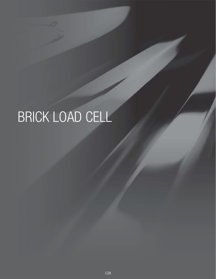# BRICK LOAD CELL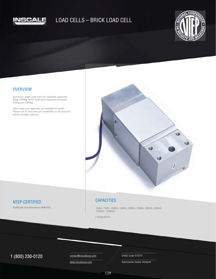

## LOAD CELLS – BRICK LOAD CELL



#### **OVERVIEW**

Aluminum single point load cell. Available capacities 50kg-1000kg. NTEP Approved capacities excluding 635kg and 1000kg.

Other sizes and capacities are available for quote. Please call for lead time and availability on all products before quoting customer.



### NTEP CERTIFIED

Certificate of Conformance #08-076

#### **CAPACITIES**

 50KG, 75KG, 100KG, 150KG, 200KG, 250KG, 300KG, 500KG, \*635KG, \*1000KG

(\*NON-NTEP)

## $1 (800) 230-0120$  Contact@inscaleusa.com CAGE Code 07GT5

contact@inscaleusa.com www.inscaleusa.com

Nationwide Dealer Network

129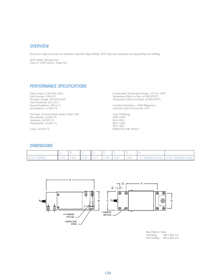#### **OVERVIEW**

Aluminum single point load cell. Available capacities 50kg-1000kg. NTEP Approved capacities excluding 635kg and 1000kg.

NTEP Rated, FM Approved Class III, 5,000 Division, Single Cell

#### PERFORMANCE SPECIFICATIONS

Rated Output: 2.00 mV/V ±10% Safe Overload: 150% FS Excitation Voltage: 10V-20V AC/DC Input Restiance: 410 ±10 Ω Output Resistance: 350 ±3 Ω Zero Balance: +1.00% FS

Seal Type: Environmentally Sealed, Poted, IP67 Non-linearity: ±0.02% FS Hysteresis: ±0.02% FS Repeatability: ±0.02% FS

Creep: ±0.03% FS

Compensated Temperature Range: -10°C to +40°C Temperature Effect on Zero: ±0.002%FS/°C Temperature Effect on Output: ±0.001%FS/°C

Insulation Resistance: >5000 Megaohms Load Cell Cable: 4 Conductor, 10 ft.

Load Cell Wiring: GRN (+EXC) BLK (-EXC) WHT (+SIG) RED (-SIG) BRAID/YELLOW: SHIELD

#### DIMENSIONS

| 50 to 1000KG |  |  |  |  | 7.52   2.95   2.95   0.31   0.98   4.92   2.36    1/2-20UNFx0.50dp   5/16-18UNCx0.62dp |
|--------------|--|--|--|--|----------------------------------------------------------------------------------------|



Max Platform Sizes:<br>50-500kg 600 600 x 600 mm 635-1000kg 800 x 800 mm